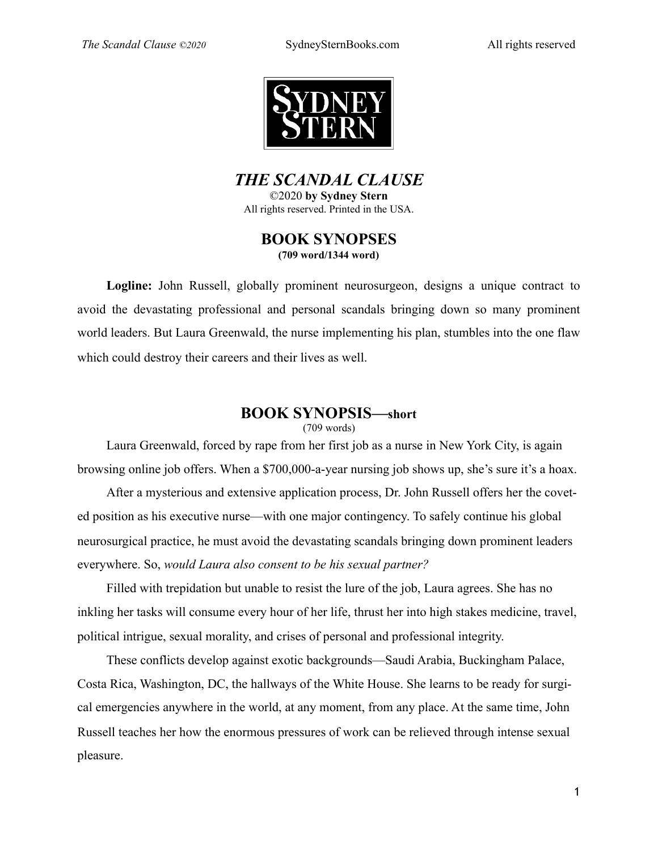

*THE SCANDAL CLAUSE*  ©2020 **by Sydney Stern** 

All rights reserved. Printed in the USA.

### **BOOK SYNOPSES (709 word/1344 word)**

**Logline:** John Russell, globally prominent neurosurgeon, designs a unique contract to avoid the devastating professional and personal scandals bringing down so many prominent world leaders. But Laura Greenwald, the nurse implementing his plan, stumbles into the one flaw which could destroy their careers and their lives as well.

## **BOOK SYNOPSIS—short**

#### (709 words)

Laura Greenwald, forced by rape from her first job as a nurse in New York City, is again browsing online job offers. When a \$700,000-a-year nursing job shows up, she's sure it's a hoax.

After a mysterious and extensive application process, Dr. John Russell offers her the coveted position as his executive nurse—with one major contingency. To safely continue his global neurosurgical practice, he must avoid the devastating scandals bringing down prominent leaders everywhere. So, *would Laura also consent to be his sexual partner?*

Filled with trepidation but unable to resist the lure of the job, Laura agrees. She has no inkling her tasks will consume every hour of her life, thrust her into high stakes medicine, travel, political intrigue, sexual morality, and crises of personal and professional integrity.

These conflicts develop against exotic backgrounds—Saudi Arabia, Buckingham Palace, Costa Rica, Washington, DC, the hallways of the White House. She learns to be ready for surgical emergencies anywhere in the world, at any moment, from any place. At the same time, John Russell teaches her how the enormous pressures of work can be relieved through intense sexual pleasure.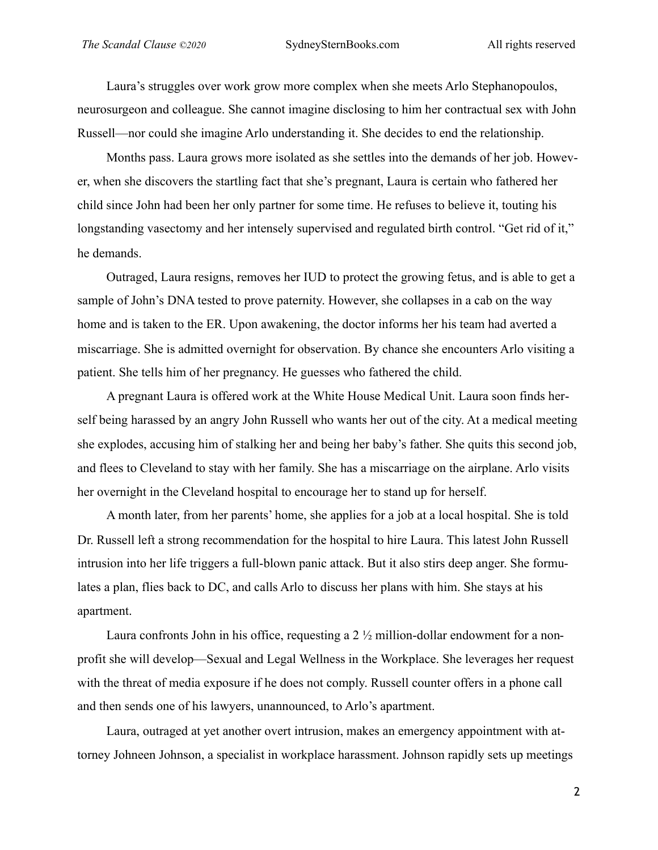Laura's struggles over work grow more complex when she meets Arlo Stephanopoulos, neurosurgeon and colleague. She cannot imagine disclosing to him her contractual sex with John Russell—nor could she imagine Arlo understanding it. She decides to end the relationship.

Months pass. Laura grows more isolated as she settles into the demands of her job. However, when she discovers the startling fact that she's pregnant, Laura is certain who fathered her child since John had been her only partner for some time. He refuses to believe it, touting his longstanding vasectomy and her intensely supervised and regulated birth control. "Get rid of it," he demands.

Outraged, Laura resigns, removes her IUD to protect the growing fetus, and is able to get a sample of John's DNA tested to prove paternity. However, she collapses in a cab on the way home and is taken to the ER. Upon awakening, the doctor informs her his team had averted a miscarriage. She is admitted overnight for observation. By chance she encounters Arlo visiting a patient. She tells him of her pregnancy. He guesses who fathered the child.

A pregnant Laura is offered work at the White House Medical Unit. Laura soon finds herself being harassed by an angry John Russell who wants her out of the city. At a medical meeting she explodes, accusing him of stalking her and being her baby's father. She quits this second job, and flees to Cleveland to stay with her family. She has a miscarriage on the airplane. Arlo visits her overnight in the Cleveland hospital to encourage her to stand up for herself.

A month later, from her parents' home, she applies for a job at a local hospital. She is told Dr. Russell left a strong recommendation for the hospital to hire Laura. This latest John Russell intrusion into her life triggers a full-blown panic attack. But it also stirs deep anger. She formulates a plan, flies back to DC, and calls Arlo to discuss her plans with him. She stays at his apartment.

Laura confronts John in his office, requesting a  $2\frac{1}{2}$  million-dollar endowment for a nonprofit she will develop—Sexual and Legal Wellness in the Workplace. She leverages her request with the threat of media exposure if he does not comply. Russell counter offers in a phone call and then sends one of his lawyers, unannounced, to Arlo's apartment.

Laura, outraged at yet another overt intrusion, makes an emergency appointment with attorney Johneen Johnson, a specialist in workplace harassment. Johnson rapidly sets up meetings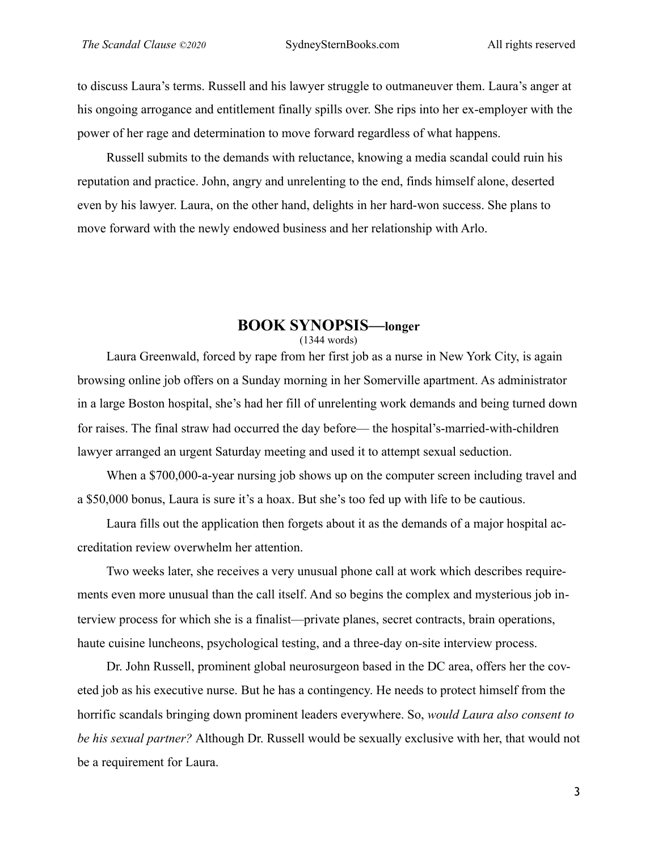to discuss Laura's terms. Russell and his lawyer struggle to outmaneuver them. Laura's anger at his ongoing arrogance and entitlement finally spills over. She rips into her ex-employer with the power of her rage and determination to move forward regardless of what happens.

Russell submits to the demands with reluctance, knowing a media scandal could ruin his reputation and practice. John, angry and unrelenting to the end, finds himself alone, deserted even by his lawyer. Laura, on the other hand, delights in her hard-won success. She plans to move forward with the newly endowed business and her relationship with Arlo.

#### **BOOK SYNOPSIS—longer**  (1344 words)

Laura Greenwald, forced by rape from her first job as a nurse in New York City, is again browsing online job offers on a Sunday morning in her Somerville apartment. As administrator in a large Boston hospital, she's had her fill of unrelenting work demands and being turned down for raises. The final straw had occurred the day before— the hospital's-married-with-children lawyer arranged an urgent Saturday meeting and used it to attempt sexual seduction.

When a \$700,000-a-year nursing job shows up on the computer screen including travel and a \$50,000 bonus, Laura is sure it's a hoax. But she's too fed up with life to be cautious.

Laura fills out the application then forgets about it as the demands of a major hospital accreditation review overwhelm her attention.

Two weeks later, she receives a very unusual phone call at work which describes requirements even more unusual than the call itself. And so begins the complex and mysterious job interview process for which she is a finalist—private planes, secret contracts, brain operations, haute cuisine luncheons, psychological testing, and a three-day on-site interview process.

Dr. John Russell, prominent global neurosurgeon based in the DC area, offers her the coveted job as his executive nurse. But he has a contingency. He needs to protect himself from the horrific scandals bringing down prominent leaders everywhere. So, *would Laura also consent to be his sexual partner?* Although Dr. Russell would be sexually exclusive with her, that would not be a requirement for Laura.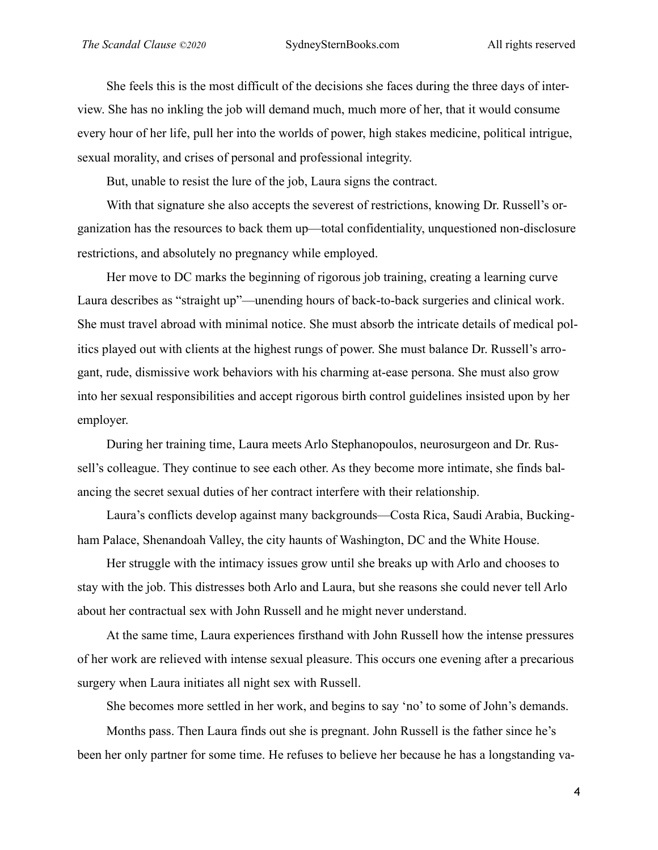She feels this is the most difficult of the decisions she faces during the three days of interview. She has no inkling the job will demand much, much more of her, that it would consume every hour of her life, pull her into the worlds of power, high stakes medicine, political intrigue, sexual morality, and crises of personal and professional integrity.

But, unable to resist the lure of the job, Laura signs the contract.

With that signature she also accepts the severest of restrictions, knowing Dr. Russell's organization has the resources to back them up—total confidentiality, unquestioned non-disclosure restrictions, and absolutely no pregnancy while employed.

Her move to DC marks the beginning of rigorous job training, creating a learning curve Laura describes as "straight up"—unending hours of back-to-back surgeries and clinical work. She must travel abroad with minimal notice. She must absorb the intricate details of medical politics played out with clients at the highest rungs of power. She must balance Dr. Russell's arrogant, rude, dismissive work behaviors with his charming at-ease persona. She must also grow into her sexual responsibilities and accept rigorous birth control guidelines insisted upon by her employer.

During her training time, Laura meets Arlo Stephanopoulos, neurosurgeon and Dr. Russell's colleague. They continue to see each other. As they become more intimate, she finds balancing the secret sexual duties of her contract interfere with their relationship.

Laura's conflicts develop against many backgrounds—Costa Rica, Saudi Arabia, Buckingham Palace, Shenandoah Valley, the city haunts of Washington, DC and the White House.

Her struggle with the intimacy issues grow until she breaks up with Arlo and chooses to stay with the job. This distresses both Arlo and Laura, but she reasons she could never tell Arlo about her contractual sex with John Russell and he might never understand.

At the same time, Laura experiences firsthand with John Russell how the intense pressures of her work are relieved with intense sexual pleasure. This occurs one evening after a precarious surgery when Laura initiates all night sex with Russell.

She becomes more settled in her work, and begins to say 'no' to some of John's demands.

Months pass. Then Laura finds out she is pregnant. John Russell is the father since he's been her only partner for some time. He refuses to believe her because he has a longstanding va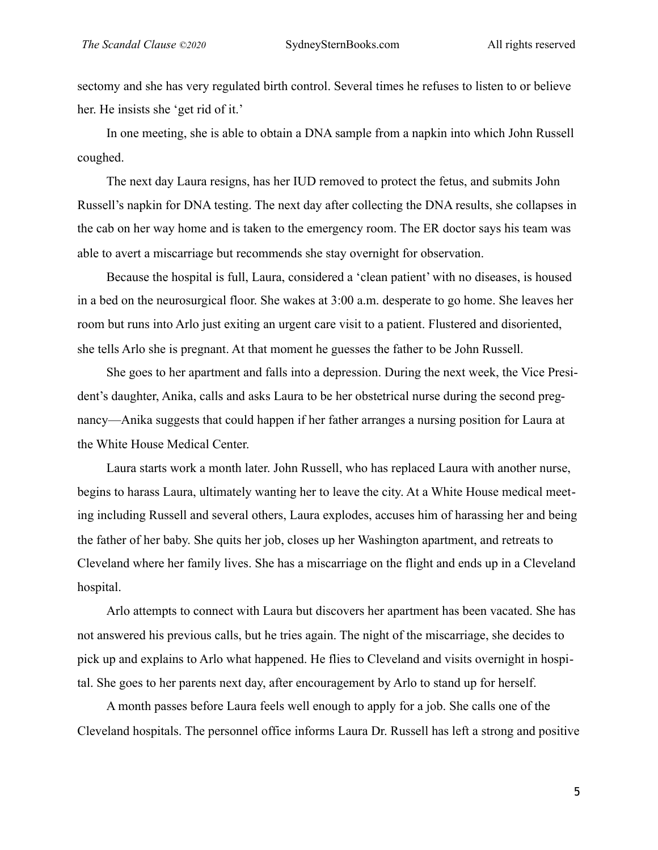sectomy and she has very regulated birth control. Several times he refuses to listen to or believe her. He insists she 'get rid of it.'

In one meeting, she is able to obtain a DNA sample from a napkin into which John Russell coughed.

The next day Laura resigns, has her IUD removed to protect the fetus, and submits John Russell's napkin for DNA testing. The next day after collecting the DNA results, she collapses in the cab on her way home and is taken to the emergency room. The ER doctor says his team was able to avert a miscarriage but recommends she stay overnight for observation.

Because the hospital is full, Laura, considered a 'clean patient' with no diseases, is housed in a bed on the neurosurgical floor. She wakes at 3:00 a.m. desperate to go home. She leaves her room but runs into Arlo just exiting an urgent care visit to a patient. Flustered and disoriented, she tells Arlo she is pregnant. At that moment he guesses the father to be John Russell.

She goes to her apartment and falls into a depression. During the next week, the Vice President's daughter, Anika, calls and asks Laura to be her obstetrical nurse during the second pregnancy—Anika suggests that could happen if her father arranges a nursing position for Laura at the White House Medical Center.

Laura starts work a month later. John Russell, who has replaced Laura with another nurse, begins to harass Laura, ultimately wanting her to leave the city. At a White House medical meeting including Russell and several others, Laura explodes, accuses him of harassing her and being the father of her baby. She quits her job, closes up her Washington apartment, and retreats to Cleveland where her family lives. She has a miscarriage on the flight and ends up in a Cleveland hospital.

Arlo attempts to connect with Laura but discovers her apartment has been vacated. She has not answered his previous calls, but he tries again. The night of the miscarriage, she decides to pick up and explains to Arlo what happened. He flies to Cleveland and visits overnight in hospital. She goes to her parents next day, after encouragement by Arlo to stand up for herself.

A month passes before Laura feels well enough to apply for a job. She calls one of the Cleveland hospitals. The personnel office informs Laura Dr. Russell has left a strong and positive